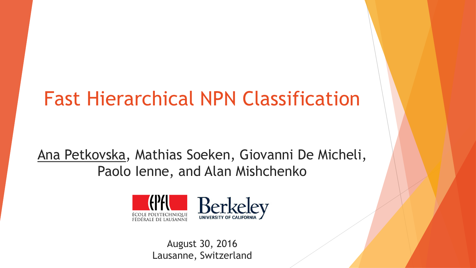# Fast Hierarchical NPN Classification

Ana Petkovska, Mathias Soeken, Giovanni De Micheli, Paolo Ienne, and Alan Mishchenko



August 30, 2016 Lausanne, Switzerland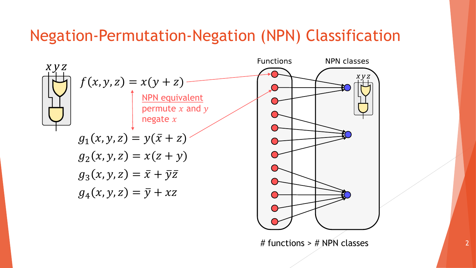#### Negation-Permutation-Negation (NPN) Classification

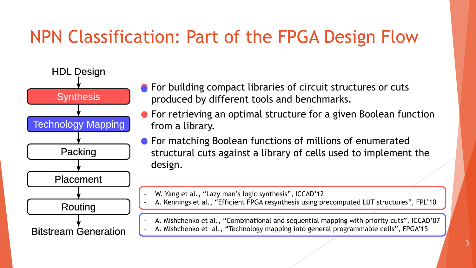## NPN Classification: Part of the FPGA Design Flow



- **•** For building compact libraries of circuit structures or cuts produced by different tools and benchmarks.
- **•** For retrieving an optimal structure for a given Boolean function from a library.
- **For matching Boolean functions of millions of enumerated** structural cuts against a library of cells used to implement the design.
	- W. Yang et al., "Lazy man's logic synthesis", ICCAD'12
	- A. Kennings et al., "Efficient FPGA resynthesis using precomputed LUT structures", FPL'10
	- A. Mishchenko et al., "Combinational and sequential mapping with priority cuts", ICCAD'07
	- A. Mishchenko et al., "Technology mapping into general programmable cells", FPGA'15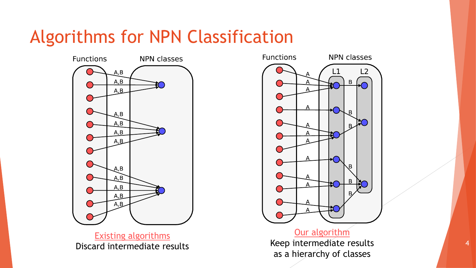### Algorithms for NPN Classification



Existing algorithms Discard intermediate results



#### Our algorithm

Keep intermediate results as a hierarchy of classes